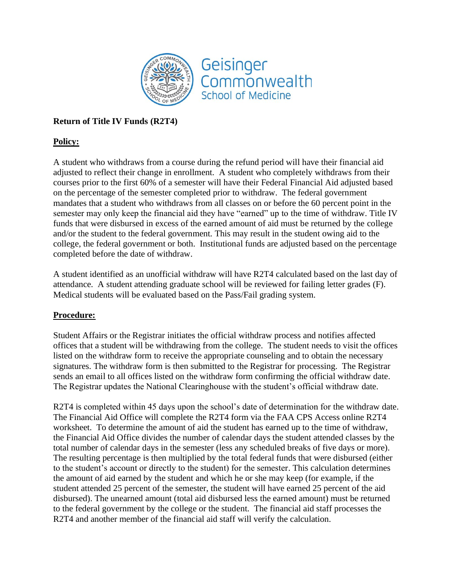

## **Return of Title IV Funds (R2T4)**

## **Policy:**

A student who withdraws from a course during the refund period will have their financial aid adjusted to reflect their change in enrollment. A student who completely withdraws from their courses prior to the first 60% of a semester will have their Federal Financial Aid adjusted based on the percentage of the semester completed prior to withdraw. The federal government mandates that a student who withdraws from all classes on or before the 60 percent point in the semester may only keep the financial aid they have "earned" up to the time of withdraw. Title IV funds that were disbursed in excess of the earned amount of aid must be returned by the college and/or the student to the federal government. This may result in the student owing aid to the college, the federal government or both. Institutional funds are adjusted based on the percentage completed before the date of withdraw.

A student identified as an unofficial withdraw will have R2T4 calculated based on the last day of attendance. A student attending graduate school will be reviewed for failing letter grades (F). Medical students will be evaluated based on the Pass/Fail grading system.

## **Procedure:**

Student Affairs or the Registrar initiates the official withdraw process and notifies affected offices that a student will be withdrawing from the college. The student needs to visit the offices listed on the withdraw form to receive the appropriate counseling and to obtain the necessary signatures. The withdraw form is then submitted to the Registrar for processing. The Registrar sends an email to all offices listed on the withdraw form confirming the official withdraw date. The Registrar updates the National Clearinghouse with the student's official withdraw date.

R2T4 is completed within 45 days upon the school's date of determination for the withdraw date. The Financial Aid Office will complete the R2T4 form via the FAA CPS Access online R2T4 worksheet. To determine the amount of aid the student has earned up to the time of withdraw, the Financial Aid Office divides the number of calendar days the student attended classes by the total number of calendar days in the semester (less any scheduled breaks of five days or more). The resulting percentage is then multiplied by the total federal funds that were disbursed (either to the student's account or directly to the student) for the semester. This calculation determines the amount of aid earned by the student and which he or she may keep (for example, if the student attended 25 percent of the semester, the student will have earned 25 percent of the aid disbursed). The unearned amount (total aid disbursed less the earned amount) must be returned to the federal government by the college or the student. The financial aid staff processes the R2T4 and another member of the financial aid staff will verify the calculation.